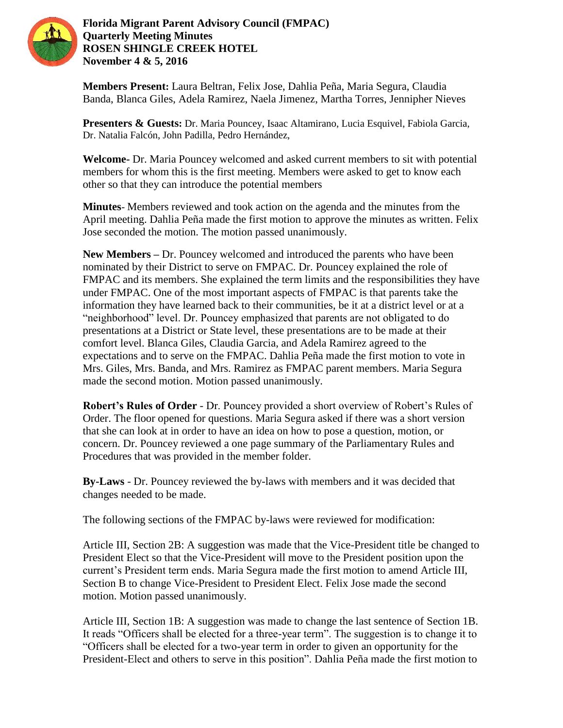

**Florida Migrant Parent Advisory Council (FMPAC) Quarterly Meeting Minutes ROSEN SHINGLE CREEK HOTEL November 4 & 5, 2016**

**Members Present:** Laura Beltran, Felix Jose, Dahlia Peña, Maria Segura, Claudia Banda, Blanca Giles, Adela Ramirez, Naela Jimenez, Martha Torres, Jennipher Nieves

**Presenters & Guests:** Dr. Maria Pouncey, Isaac Altamirano, Lucia Esquivel, Fabiola Garcia, Dr. Natalia Falcón, John Padilla, Pedro Hernández,

**Welcome-** Dr. Maria Pouncey welcomed and asked current members to sit with potential members for whom this is the first meeting. Members were asked to get to know each other so that they can introduce the potential members

**Minutes**- Members reviewed and took action on the agenda and the minutes from the April meeting. Dahlia Peña made the first motion to approve the minutes as written. Felix Jose seconded the motion. The motion passed unanimously.

**New Members –** Dr. Pouncey welcomed and introduced the parents who have been nominated by their District to serve on FMPAC. Dr. Pouncey explained the role of FMPAC and its members. She explained the term limits and the responsibilities they have under FMPAC. One of the most important aspects of FMPAC is that parents take the information they have learned back to their communities, be it at a district level or at a "neighborhood" level. Dr. Pouncey emphasized that parents are not obligated to do presentations at a District or State level, these presentations are to be made at their comfort level. Blanca Giles, Claudia Garcia, and Adela Ramirez agreed to the expectations and to serve on the FMPAC. Dahlia Peña made the first motion to vote in Mrs. Giles, Mrs. Banda, and Mrs. Ramirez as FMPAC parent members. Maria Segura made the second motion. Motion passed unanimously.

**Robert's Rules of Order** - Dr. Pouncey provided a short overview of Robert's Rules of Order. The floor opened for questions. Maria Segura asked if there was a short version that she can look at in order to have an idea on how to pose a question, motion, or concern. Dr. Pouncey reviewed a one page summary of the Parliamentary Rules and Procedures that was provided in the member folder.

**By-Laws** - Dr. Pouncey reviewed the by-laws with members and it was decided that changes needed to be made.

The following sections of the FMPAC by-laws were reviewed for modification:

Article III, Section 2B: A suggestion was made that the Vice-President title be changed to President Elect so that the Vice-President will move to the President position upon the current's President term ends. Maria Segura made the first motion to amend Article III, Section B to change Vice-President to President Elect. Felix Jose made the second motion. Motion passed unanimously.

Article III, Section 1B: A suggestion was made to change the last sentence of Section 1B. It reads "Officers shall be elected for a three-year term". The suggestion is to change it to "Officers shall be elected for a two-year term in order to given an opportunity for the President-Elect and others to serve in this position". Dahlia Peña made the first motion to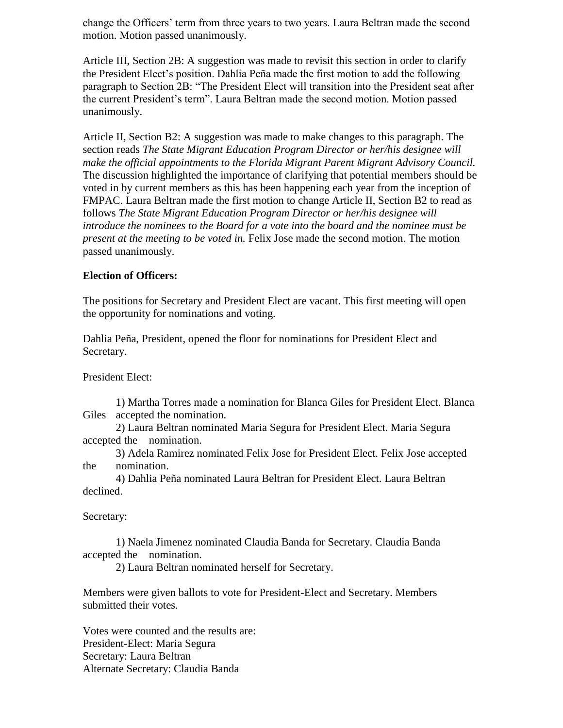change the Officers' term from three years to two years. Laura Beltran made the second motion. Motion passed unanimously.

Article III, Section 2B: A suggestion was made to revisit this section in order to clarify the President Elect's position. Dahlia Peña made the first motion to add the following paragraph to Section 2B: "The President Elect will transition into the President seat after the current President's term". Laura Beltran made the second motion. Motion passed unanimously.

Article II, Section B2: A suggestion was made to make changes to this paragraph. The section reads *The State Migrant Education Program Director or her/his designee will make the official appointments to the Florida Migrant Parent Migrant Advisory Council.* The discussion highlighted the importance of clarifying that potential members should be voted in by current members as this has been happening each year from the inception of FMPAC. Laura Beltran made the first motion to change Article II, Section B2 to read as follows *The State Migrant Education Program Director or her/his designee will introduce the nominees to the Board for a vote into the board and the nominee must be present at the meeting to be voted in.* Felix Jose made the second motion. The motion passed unanimously.

### **Election of Officers:**

The positions for Secretary and President Elect are vacant. This first meeting will open the opportunity for nominations and voting.

Dahlia Peña, President, opened the floor for nominations for President Elect and Secretary.

President Elect:

1) Martha Torres made a nomination for Blanca Giles for President Elect. Blanca Giles accepted the nomination.

2) Laura Beltran nominated Maria Segura for President Elect. Maria Segura accepted the nomination.

3) Adela Ramirez nominated Felix Jose for President Elect. Felix Jose accepted the nomination.

4) Dahlia Peña nominated Laura Beltran for President Elect. Laura Beltran declined.

Secretary:

1) Naela Jimenez nominated Claudia Banda for Secretary. Claudia Banda accepted the nomination.

2) Laura Beltran nominated herself for Secretary.

Members were given ballots to vote for President-Elect and Secretary. Members submitted their votes.

Votes were counted and the results are: President-Elect: Maria Segura Secretary: Laura Beltran Alternate Secretary: Claudia Banda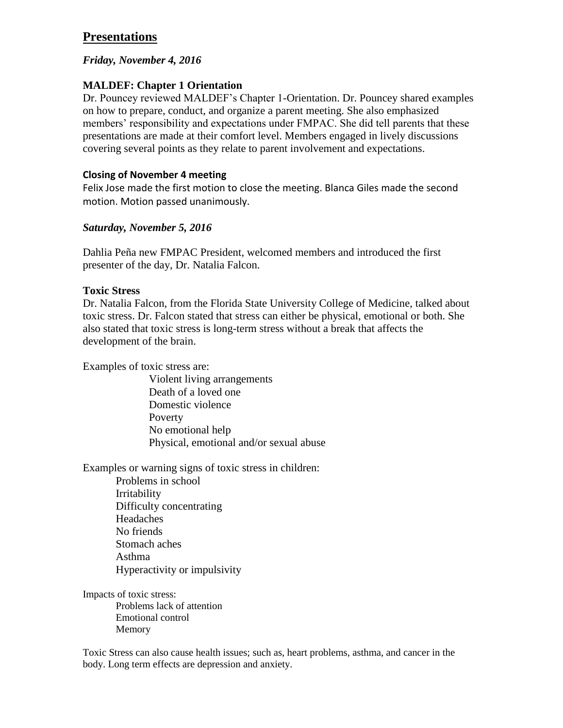# **Presentations**

## *Friday, November 4, 2016*

## **MALDEF: Chapter 1 Orientation**

Dr. Pouncey reviewed MALDEF's Chapter 1-Orientation. Dr. Pouncey shared examples on how to prepare, conduct, and organize a parent meeting. She also emphasized members' responsibility and expectations under FMPAC. She did tell parents that these presentations are made at their comfort level. Members engaged in lively discussions covering several points as they relate to parent involvement and expectations.

## **Closing of November 4 meeting**

Felix Jose made the first motion to close the meeting. Blanca Giles made the second motion. Motion passed unanimously.

## *Saturday, November 5, 2016*

Dahlia Peña new FMPAC President, welcomed members and introduced the first presenter of the day, Dr. Natalia Falcon.

### **Toxic Stress**

Dr. Natalia Falcon, from the Florida State University College of Medicine, talked about toxic stress. Dr. Falcon stated that stress can either be physical, emotional or both. She also stated that toxic stress is long-term stress without a break that affects the development of the brain.

Examples of toxic stress are:

Violent living arrangements Death of a loved one Domestic violence Poverty No emotional help Physical, emotional and/or sexual abuse

Examples or warning signs of toxic stress in children:

Problems in school Irritability Difficulty concentrating Headaches No friends Stomach aches Asthma Hyperactivity or impulsivity

Impacts of toxic stress:

Problems lack of attention Emotional control Memory

Toxic Stress can also cause health issues; such as, heart problems, asthma, and cancer in the body. Long term effects are depression and anxiety.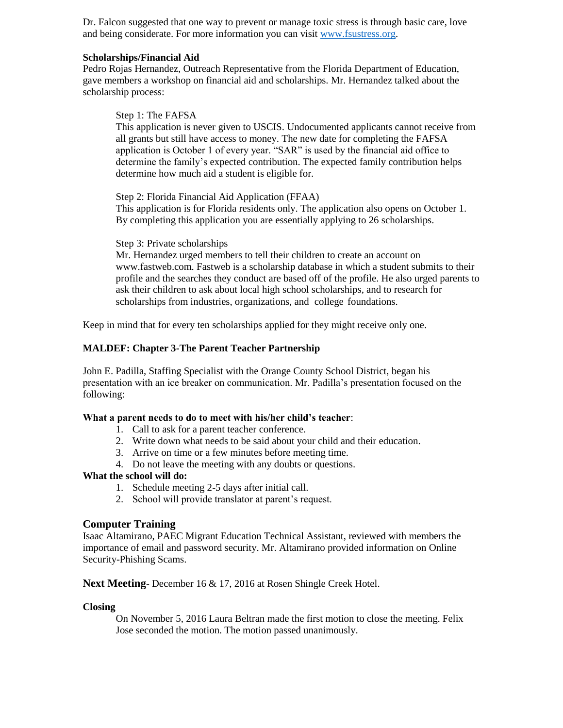Dr. Falcon suggested that one way to prevent or manage toxic stress is through basic care, love and being considerate. For more information you can visit [www.fsustress.org.](http://www.fsustress.org/)

#### **Scholarships/Financial Aid**

Pedro Rojas Hernandez, Outreach Representative from the Florida Department of Education, gave members a workshop on financial aid and scholarships. Mr. Hernandez talked about the scholarship process:

#### Step 1: The FAFSA

This application is never given to USCIS. Undocumented applicants cannot receive from all grants but still have access to money. The new date for completing the FAFSA application is October 1 of every year. "SAR" is used by the financial aid office to determine the family's expected contribution. The expected family contribution helps determine how much aid a student is eligible for.

Step 2: Florida Financial Aid Application (FFAA) This application is for Florida residents only. The application also opens on October 1. By completing this application you are essentially applying to 26 scholarships.

#### Step 3: Private scholarships

Mr. Hernandez urged members to tell their children to create an account on www.fastweb.com. Fastweb is a scholarship database in which a student submits to their profile and the searches they conduct are based off of the profile. He also urged parents to ask their children to ask about local high school scholarships, and to research for scholarships from industries, organizations, and college foundations.

Keep in mind that for every ten scholarships applied for they might receive only one.

#### **MALDEF: Chapter 3-The Parent Teacher Partnership**

John E. Padilla, Staffing Specialist with the Orange County School District, began his presentation with an ice breaker on communication. Mr. Padilla's presentation focused on the following:

#### **What a parent needs to do to meet with his/her child's teacher**:

- 1. Call to ask for a parent teacher conference.
- 2. Write down what needs to be said about your child and their education.
- 3. Arrive on time or a few minutes before meeting time.
- 4. Do not leave the meeting with any doubts or questions.

#### **What the school will do:**

- 1. Schedule meeting 2-5 days after initial call.
- 2. School will provide translator at parent's request.

#### **Computer Training**

Isaac Altamirano, PAEC Migrant Education Technical Assistant, reviewed with members the importance of email and password security. Mr. Altamirano provided information on Online Security-Phishing Scams.

#### **Next Meeting**- December 16 & 17, 2016 at Rosen Shingle Creek Hotel.

#### **Closing**

On November 5, 2016 Laura Beltran made the first motion to close the meeting. Felix Jose seconded the motion. The motion passed unanimously.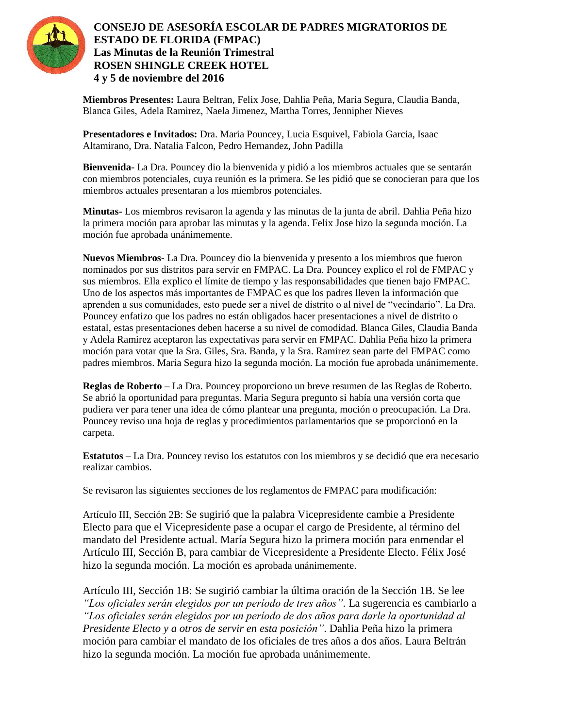

## **CONSEJO DE ASESORÍA ESCOLAR DE PADRES MIGRATORIOS DE ESTADO DE FLORIDA (FMPAC) Las Minutas de la Reunión Trimestral ROSEN SHINGLE CREEK HOTEL 4 y 5 de noviembre del 2016**

**Miembros Presentes:** Laura Beltran, Felix Jose, Dahlia Peña, Maria Segura, Claudia Banda, Blanca Giles, Adela Ramirez, Naela Jimenez, Martha Torres, Jennipher Nieves

**Presentadores e Invitados:** Dra. Maria Pouncey, Lucia Esquivel, Fabiola Garcia, Isaac Altamirano, Dra. Natalia Falcon, Pedro Hernandez, John Padilla

**Bienvenida-** La Dra. Pouncey dio la bienvenida y pidió a los miembros actuales que se sentarán con miembros potenciales, cuya reunión es la primera. Se les pidió que se conocieran para que los miembros actuales presentaran a los miembros potenciales.

**Minutas-** Los miembros revisaron la agenda y las minutas de la junta de abril. Dahlia Peña hizo la primera moción para aprobar las minutas y la agenda. Felix Jose hizo la segunda moción. La moción fue aprobada unánimemente.

**Nuevos Miembros-** La Dra. Pouncey dio la bienvenida y presento a los miembros que fueron nominados por sus distritos para servir en FMPAC. La Dra. Pouncey explico el rol de FMPAC y sus miembros. Ella explico el límite de tiempo y las responsabilidades que tienen bajo FMPAC. Uno de los aspectos más importantes de FMPAC es que los padres lleven la información que aprenden a sus comunidades, esto puede ser a nivel de distrito o al nivel de "vecindario". La Dra. Pouncey enfatizo que los padres no están obligados hacer presentaciones a nivel de distrito o estatal, estas presentaciones deben hacerse a su nivel de comodidad. Blanca Giles, Claudia Banda y Adela Ramirez aceptaron las expectativas para servir en FMPAC. Dahlia Peña hizo la primera moción para votar que la Sra. Giles, Sra. Banda, y la Sra. Ramirez sean parte del FMPAC como padres miembros. Maria Segura hizo la segunda moción. La moción fue aprobada unánimemente.

**Reglas de Roberto –** La Dra. Pouncey proporciono un breve resumen de las Reglas de Roberto. Se abrió la oportunidad para preguntas. Maria Segura pregunto si había una versión corta que pudiera ver para tener una idea de cómo plantear una pregunta, moción o preocupación. La Dra. Pouncey reviso una hoja de reglas y procedimientos parlamentarios que se proporcionó en la carpeta.

**Estatutos –** La Dra. Pouncey reviso los estatutos con los miembros y se decidió que era necesario realizar cambios.

Se revisaron las siguientes secciones de los reglamentos de FMPAC para modificación:

Artículo III, Sección 2B: Se sugirió que la palabra Vicepresidente cambie a Presidente Electo para que el Vicepresidente pase a ocupar el cargo de Presidente, al término del mandato del Presidente actual. María Segura hizo la primera moción para enmendar el Artículo III, Sección B, para cambiar de Vicepresidente a Presidente Electo. Félix José hizo la segunda moción. La moción es aprobada unánimemente.

Artículo III, Sección 1B: Se sugirió cambiar la última oración de la Sección 1B. Se lee *"Los oficiales serán elegidos por un período de tres años"*. La sugerencia es cambiarlo a *"Los oficiales serán elegidos por un período de dos años para darle la oportunidad al Presidente Electo y a otros de servir en esta posición"*. Dahlia Peña hizo la primera moción para cambiar el mandato de los oficiales de tres años a dos años. Laura Beltrán hizo la segunda moción. La moción fue aprobada unánimemente.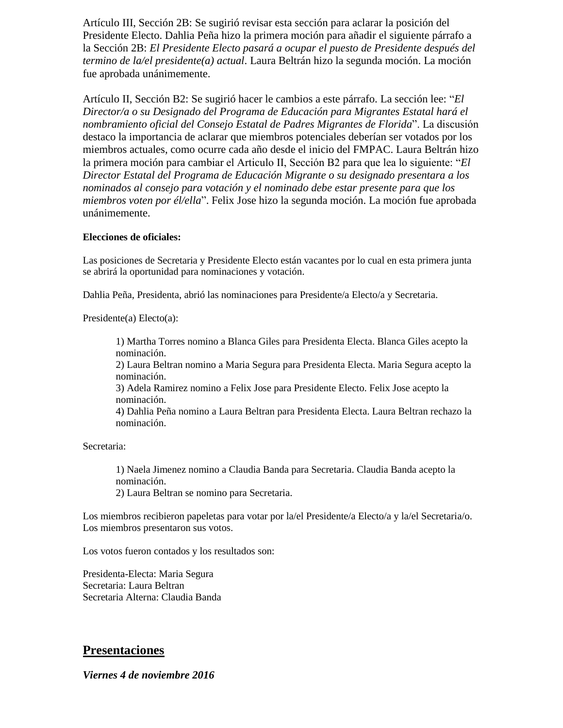Artículo III, Sección 2B: Se sugirió revisar esta sección para aclarar la posición del Presidente Electo. Dahlia Peña hizo la primera moción para añadir el siguiente párrafo a la Sección 2B: *El Presidente Electo pasará a ocupar el puesto de Presidente después del termino de la/el presidente(a) actual*. Laura Beltrán hizo la segunda moción. La moción fue aprobada unánimemente.

Artículo II, Sección B2: Se sugirió hacer le cambios a este párrafo. La sección lee: "*El Director/a o su Designado del Programa de Educación para Migrantes Estatal hará el nombramiento oficial del Consejo Estatal de Padres Migrantes de Florida*". La discusión destaco la importancia de aclarar que miembros potenciales deberían ser votados por los miembros actuales, como ocurre cada año desde el inicio del FMPAC. Laura Beltrán hizo la primera moción para cambiar el Articulo II, Sección B2 para que lea lo siguiente: "*El Director Estatal del Programa de Educación Migrante o su designado presentara a los nominados al consejo para votación y el nominado debe estar presente para que los miembros voten por él/ella*". Felix Jose hizo la segunda moción. La moción fue aprobada unánimemente.

### **Elecciones de oficiales:**

Las posiciones de Secretaria y Presidente Electo están vacantes por lo cual en esta primera junta se abrirá la oportunidad para nominaciones y votación.

Dahlia Peña, Presidenta, abrió las nominaciones para Presidente/a Electo/a y Secretaria.

Presidente(a) Electo(a):

1) Martha Torres nomino a Blanca Giles para Presidenta Electa. Blanca Giles acepto la nominación.

2) Laura Beltran nomino a Maria Segura para Presidenta Electa. Maria Segura acepto la nominación.

3) Adela Ramirez nomino a Felix Jose para Presidente Electo. Felix Jose acepto la nominación.

4) Dahlia Peña nomino a Laura Beltran para Presidenta Electa. Laura Beltran rechazo la nominación.

Secretaria:

1) Naela Jimenez nomino a Claudia Banda para Secretaria. Claudia Banda acepto la nominación.

2) Laura Beltran se nomino para Secretaria.

Los miembros recibieron papeletas para votar por la/el Presidente/a Electo/a y la/el Secretaria/o. Los miembros presentaron sus votos.

Los votos fueron contados y los resultados son:

Presidenta-Electa: Maria Segura Secretaria: Laura Beltran Secretaria Alterna: Claudia Banda

## **Presentaciones**

*Viernes 4 de noviembre 2016*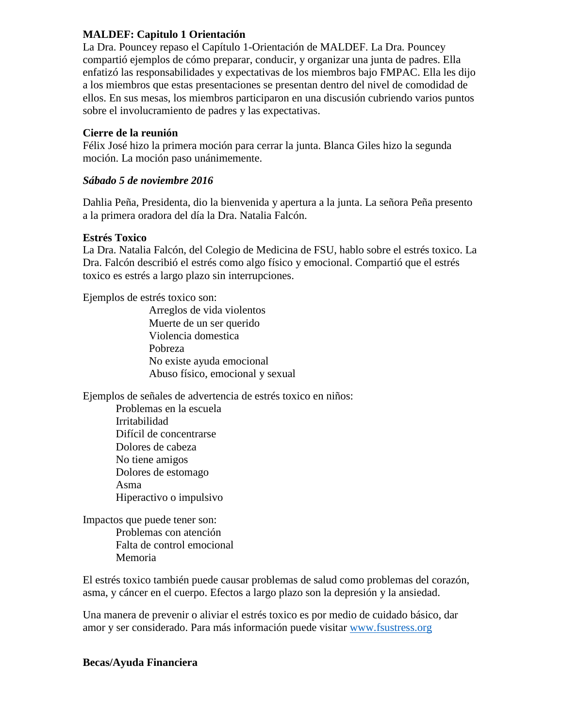## **MALDEF: Capitulo 1 Orientación**

La Dra. Pouncey repaso el Capítulo 1-Orientación de MALDEF. La Dra. Pouncey compartió ejemplos de cómo preparar, conducir, y organizar una junta de padres. Ella enfatizó las responsabilidades y expectativas de los miembros bajo FMPAC. Ella les dijo a los miembros que estas presentaciones se presentan dentro del nivel de comodidad de ellos. En sus mesas, los miembros participaron en una discusión cubriendo varios puntos sobre el involucramiento de padres y las expectativas.

## **Cierre de la reunión**

Félix José hizo la primera moción para cerrar la junta. Blanca Giles hizo la segunda moción. La moción paso unánimemente.

## *Sábado 5 de noviembre 2016*

Dahlia Peña, Presidenta, dio la bienvenida y apertura a la junta. La señora Peña presento a la primera oradora del día la Dra. Natalia Falcón.

## **Estrés Toxico**

La Dra. Natalia Falcón, del Colegio de Medicina de FSU, hablo sobre el estrés toxico. La Dra. Falcón describió el estrés como algo físico y emocional. Compartió que el estrés toxico es estrés a largo plazo sin interrupciones.

Ejemplos de estrés toxico son:

Arreglos de vida violentos Muerte de un ser querido Violencia domestica Pobreza No existe ayuda emocional Abuso físico, emocional y sexual

Ejemplos de señales de advertencia de estrés toxico en niños:

Problemas en la escuela Irritabilidad Difícil de concentrarse Dolores de cabeza No tiene amigos Dolores de estomago Asma Hiperactivo o impulsivo

Impactos que puede tener son: Problemas con atención Falta de control emocional Memoria

El estrés toxico también puede causar problemas de salud como problemas del corazón, asma, y cáncer en el cuerpo. Efectos a largo plazo son la depresión y la ansiedad.

Una manera de prevenir o aliviar el estrés toxico es por medio de cuidado básico, dar amor y ser considerado. Para más información puede visitar [www.fsustress.org](http://www.fsustress.org/)

## **Becas/Ayuda Financiera**